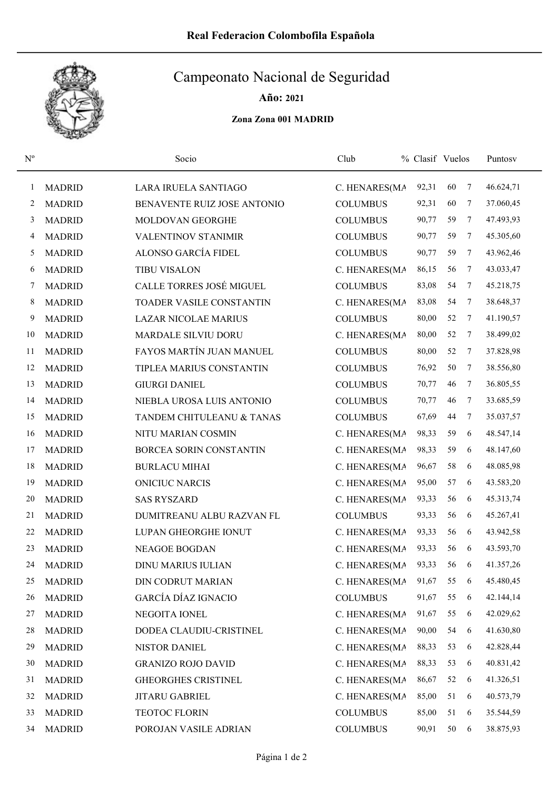

## Campeonato Nacional de Seguridad

Año: 2021

Zona Zona 001 MADRID

| $N^{o}$ |               | Socio                          | Club            | % Clasif Vuelos |    |        | Puntosv   |
|---------|---------------|--------------------------------|-----------------|-----------------|----|--------|-----------|
| 1       | <b>MADRID</b> | LARA IRUELA SANTIAGO           | C. HENARES(MA   | 92,31           | 60 | $\tau$ | 46.624,71 |
| 2       | <b>MADRID</b> | BENAVENTE RUIZ JOSE ANTONIO    | <b>COLUMBUS</b> | 92,31           | 60 | 7      | 37.060,45 |
| 3       | <b>MADRID</b> | MOLDOVAN GEORGHE               | <b>COLUMBUS</b> | 90,77           | 59 | 7      | 47.493,93 |
| 4       | <b>MADRID</b> | <b>VALENTINOV STANIMIR</b>     | <b>COLUMBUS</b> | 90,77           | 59 | 7      | 45.305,60 |
| 5       | <b>MADRID</b> | ALONSO GARCÍA FIDEL            | <b>COLUMBUS</b> | 90,77           | 59 | 7      | 43.962,46 |
| 6       | <b>MADRID</b> | <b>TIBU VISALON</b>            | C. HENARES(MA   | 86,15           | 56 | 7      | 43.033,47 |
| 7       | <b>MADRID</b> | CALLE TORRES JOSÉ MIGUEL       | <b>COLUMBUS</b> | 83,08           | 54 | 7      | 45.218,75 |
| 8       | <b>MADRID</b> | TOADER VASILE CONSTANTIN       | C. HENARES(MA   | 83,08           | 54 | 7      | 38.648,37 |
| 9       | <b>MADRID</b> | <b>LAZAR NICOLAE MARIUS</b>    | <b>COLUMBUS</b> | 80,00           | 52 | 7      | 41.190,57 |
| 10      | <b>MADRID</b> | <b>MARDALE SILVIU DORU</b>     | C. HENARES(MA   | 80,00           | 52 | 7      | 38.499,02 |
| 11      | <b>MADRID</b> | FAYOS MARTÍN JUAN MANUEL       | <b>COLUMBUS</b> | 80,00           | 52 | 7      | 37.828,98 |
| 12      | <b>MADRID</b> | TIPLEA MARIUS CONSTANTIN       | <b>COLUMBUS</b> | 76,92           | 50 | 7      | 38.556,80 |
| 13      | <b>MADRID</b> | <b>GIURGI DANIEL</b>           | <b>COLUMBUS</b> | 70,77           | 46 | 7      | 36.805,55 |
| 14      | <b>MADRID</b> | NIEBLA UROSA LUIS ANTONIO      | <b>COLUMBUS</b> | 70,77           | 46 | 7      | 33.685,59 |
| 15      | <b>MADRID</b> | TANDEM CHITULEANU & TANAS      | <b>COLUMBUS</b> | 67,69           | 44 | 7      | 35.037,57 |
| 16      | <b>MADRID</b> | NITU MARIAN COSMIN             | C. HENARES(MA   | 98,33           | 59 | 6      | 48.547,14 |
| 17      | <b>MADRID</b> | <b>BORCEA SORIN CONSTANTIN</b> | C. HENARES(MA   | 98,33           | 59 | 6      | 48.147,60 |
| 18      | <b>MADRID</b> | <b>BURLACU MIHAI</b>           | C. HENARES(MA   | 96,67           | 58 | 6      | 48.085,98 |
| 19      | <b>MADRID</b> | <b>ONICIUC NARCIS</b>          | C. HENARES(MA   | 95,00           | 57 | 6      | 43.583,20 |
| 20      | <b>MADRID</b> | <b>SAS RYSZARD</b>             | C. HENARES(MA   | 93,33           | 56 | 6      | 45.313,74 |
| 21      | <b>MADRID</b> | DUMITREANU ALBU RAZVAN FL      | <b>COLUMBUS</b> | 93,33           | 56 | 6      | 45.267,41 |
| 22      | <b>MADRID</b> | LUPAN GHEORGHE IONUT           | C. HENARES(MA   | 93,33           | 56 | 6      | 43.942,58 |
| 23      | <b>MADRID</b> | <b>NEAGOE BOGDAN</b>           | C. HENARES(MA   | 93,33           | 56 | 6      | 43.593,70 |
| 24      | <b>MADRID</b> | <b>DINU MARIUS IULIAN</b>      | C. HENARES(MA   | 93,33           | 56 | 6      | 41.357,26 |
| 25      | <b>MADRID</b> | DIN CODRUT MARIAN              | C. HENARES(MA   | 91,67           | 55 | 6      | 45.480,45 |
| 26      | <b>MADRID</b> | <b>GARCÍA DÍAZ IGNACIO</b>     | <b>COLUMBUS</b> | 91,67           | 55 | 6      | 42.144,14 |
| 27      | <b>MADRID</b> | NEGOITA IONEL                  | C. HENARES(MA   | 91,67           | 55 | 6      | 42.029,62 |
| 28      | <b>MADRID</b> | DODEA CLAUDIU-CRISTINEL        | C. HENARES(MA   | 90,00           | 54 | 6      | 41.630,80 |
| 29      | <b>MADRID</b> | NISTOR DANIEL                  | C. HENARES(MA   | 88,33           | 53 | 6      | 42.828,44 |
| 30      | <b>MADRID</b> | <b>GRANIZO ROJO DAVID</b>      | C. HENARES(MA   | 88,33           | 53 | 6      | 40.831,42 |
| 31      | <b>MADRID</b> | <b>GHEORGHES CRISTINEL</b>     | C. HENARES(MA   | 86,67           | 52 | 6      | 41.326,51 |
| 32      | <b>MADRID</b> | JITARU GABRIEL                 | C. HENARES(MA   | 85,00           | 51 | 6      | 40.573,79 |
| 33      | <b>MADRID</b> | TEOTOC FLORIN                  | <b>COLUMBUS</b> | 85,00           | 51 | 6      | 35.544,59 |
| 34      | <b>MADRID</b> | POROJAN VASILE ADRIAN          | <b>COLUMBUS</b> | 90,91           | 50 | 6      | 38.875,93 |